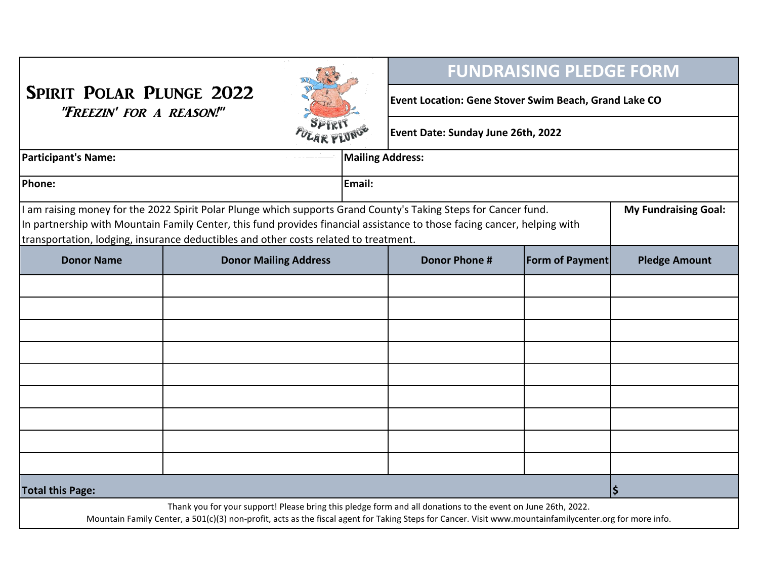| <b>SPIRIT POLAR PLUNGE 2022</b><br>"FREEZIN' FOR A REASON!"                                                                                                                                                                                                                                                                                                        |                              |  |                         | <b>FUNDRAISING PLEDGE FORM</b>                        |                 |                      |  |
|--------------------------------------------------------------------------------------------------------------------------------------------------------------------------------------------------------------------------------------------------------------------------------------------------------------------------------------------------------------------|------------------------------|--|-------------------------|-------------------------------------------------------|-----------------|----------------------|--|
|                                                                                                                                                                                                                                                                                                                                                                    |                              |  |                         | Event Location: Gene Stover Swim Beach, Grand Lake CO |                 |                      |  |
|                                                                                                                                                                                                                                                                                                                                                                    |                              |  |                         | Event Date: Sunday June 26th, 2022                    |                 |                      |  |
| <b>Participant's Name:</b>                                                                                                                                                                                                                                                                                                                                         |                              |  | <b>Mailing Address:</b> |                                                       |                 |                      |  |
| Phone:                                                                                                                                                                                                                                                                                                                                                             |                              |  | Email:                  |                                                       |                 |                      |  |
| I am raising money for the 2022 Spirit Polar Plunge which supports Grand County's Taking Steps for Cancer fund.<br><b>My Fundraising Goal:</b><br>In partnership with Mountain Family Center, this fund provides financial assistance to those facing cancer, helping with<br>transportation, lodging, insurance deductibles and other costs related to treatment. |                              |  |                         |                                                       |                 |                      |  |
| <b>Donor Name</b>                                                                                                                                                                                                                                                                                                                                                  | <b>Donor Mailing Address</b> |  |                         | <b>Donor Phone #</b>                                  | Form of Payment | <b>Pledge Amount</b> |  |
|                                                                                                                                                                                                                                                                                                                                                                    |                              |  |                         |                                                       |                 |                      |  |
|                                                                                                                                                                                                                                                                                                                                                                    |                              |  |                         |                                                       |                 |                      |  |
|                                                                                                                                                                                                                                                                                                                                                                    |                              |  |                         |                                                       |                 |                      |  |
|                                                                                                                                                                                                                                                                                                                                                                    |                              |  |                         |                                                       |                 |                      |  |
|                                                                                                                                                                                                                                                                                                                                                                    |                              |  |                         |                                                       |                 |                      |  |
|                                                                                                                                                                                                                                                                                                                                                                    |                              |  |                         |                                                       |                 |                      |  |
|                                                                                                                                                                                                                                                                                                                                                                    |                              |  |                         |                                                       |                 |                      |  |
|                                                                                                                                                                                                                                                                                                                                                                    |                              |  |                         |                                                       |                 |                      |  |
| <b>Total this Page:</b>                                                                                                                                                                                                                                                                                                                                            |                              |  |                         |                                                       |                 | $\boldsymbol{\zeta}$ |  |
| Mountain Family Center, a 501(c)(3) non-profit, acts as the fiscal agent for Taking Steps for Cancer. Visit www.mountainfamilycenter.org for more info.                                                                                                                                                                                                            |                              |  |                         |                                                       |                 |                      |  |